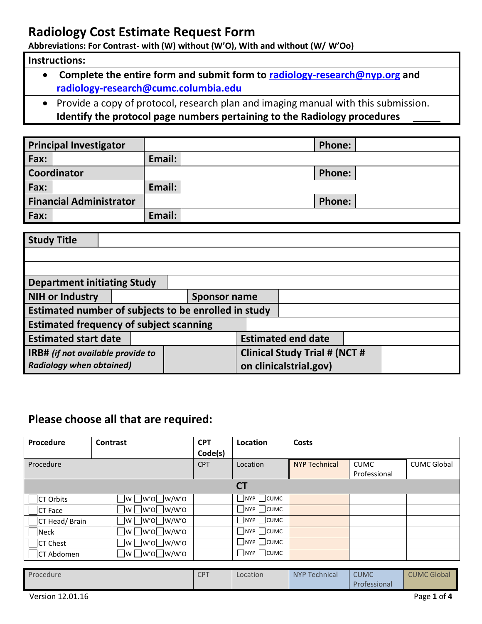**Abbreviations: For Contrast- with (W) without (W'O), With and without (W/ W'Oo)**

#### **Instructions:**

- **Complete the entire form and submit form to [radiology-research@nyp.org](mailto:radiology-research@nyp.org) and [radiology-research@cumc.columbia.edu](mailto:radiology-research@cumc.columbia.edu)**
- Provide a copy of protocol, research plan and imaging manual with this submission. **Identify the protocol page numbers pertaining to the Radiology procedures**

| <b>Principal Investigator</b>  |        | <b>Phone:</b> |
|--------------------------------|--------|---------------|
| Fax:                           | Email: |               |
| <b>Coordinator</b>             |        | <b>Phone:</b> |
| Fax:                           | Email: |               |
| <b>Financial Administrator</b> |        | <b>Phone:</b> |
| Fax:                           | Email: |               |

| <b>Study Title</b>                                   |  |                                      |                           |                        |  |  |
|------------------------------------------------------|--|--------------------------------------|---------------------------|------------------------|--|--|
|                                                      |  |                                      |                           |                        |  |  |
|                                                      |  |                                      |                           |                        |  |  |
| <b>Department initiating Study</b>                   |  |                                      |                           |                        |  |  |
| <b>NIH or Industry</b>                               |  | Sponsor name                         |                           |                        |  |  |
| Estimated number of subjects to be enrolled in study |  |                                      |                           |                        |  |  |
| <b>Estimated frequency of subject scanning</b>       |  |                                      |                           |                        |  |  |
| <b>Estimated start date</b>                          |  |                                      | <b>Estimated end date</b> |                        |  |  |
| IRB# (if not available provide to                    |  | <b>Clinical Study Trial # (NCT #</b> |                           |                        |  |  |
| <b>Radiology when obtained)</b>                      |  |                                      |                           | on clinicalstrial.gov) |  |  |

### **Please choose all that are required:**

| Procedure        | Contrast     | <b>CPT</b> | Location               | Costs                |              |                    |
|------------------|--------------|------------|------------------------|----------------------|--------------|--------------------|
|                  |              | Code(s)    |                        |                      |              |                    |
| Procedure        |              | <b>CPT</b> | Location               | <b>NYP Technical</b> | <b>CUMC</b>  | <b>CUMC Global</b> |
|                  |              |            |                        |                      | Professional |                    |
|                  |              |            | <b>CT</b>              |                      |              |                    |
| <b>CT Orbits</b> | Jw∐w'o∐w/w'o |            | NYP CUMC               |                      |              |                    |
| <b>CT Face</b>   | Jw∐w'o∐w/w'o |            | NYP CUMC               |                      |              |                    |
| CT Head/Brain    | Jw∐w'o∐w/w'o |            | $\Box$ nyp $\Box$ cumc |                      |              |                    |
| <b>Neck</b>      |              |            | $\Box$ NYP $\Box$ CUMC |                      |              |                    |
| <b>ICT Chest</b> | Jw∐w'o⊟w/w'o |            | NYP CUMC               |                      |              |                    |
| CT Abdomen       | Jw∐w'o∐w/w'o |            | $\Box$ nyp $\Box$ cumc |                      |              |                    |

| Procedure        | <b>CPT</b> | Location | NYP Technical | <b>CUMC</b>  | <b>CUMC Global</b> |
|------------------|------------|----------|---------------|--------------|--------------------|
|                  |            |          |               | Professional |                    |
| Version 12.01.16 |            |          |               |              | Page 1 of 4        |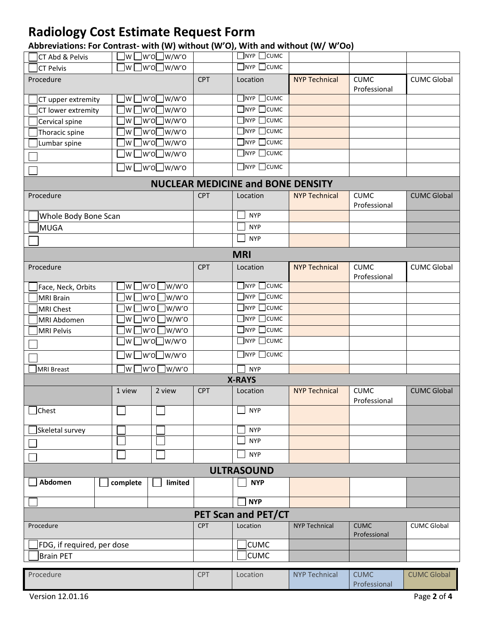### **Abbreviations: For Contrast- with (W) without (W'O), With and without (W/ W'Oo)**

| CT Abd & Pelvis            | w l                     | ]w'o□w/w'o                          |            | $\Box$ NYP $\Box$ CUMC                   |                      |                             |                    |  |
|----------------------------|-------------------------|-------------------------------------|------------|------------------------------------------|----------------------|-----------------------------|--------------------|--|
| <b>CT Pelvis</b>           | $\mathsf{I} \mathsf{w}$ | ]w′o∏w/w′o                          |            | $\sqrt{ }$ NYP $\sqrt{ }$ CUMC           |                      |                             |                    |  |
| Procedure                  |                         |                                     | <b>CPT</b> | Location                                 | <b>NYP Technical</b> | <b>CUMC</b><br>Professional | <b>CUMC Global</b> |  |
| CT upper extremity         | lw l                    | ]w'o∏w/w'o                          |            | $\Box$ nyp $\Box$ cumc                   |                      |                             |                    |  |
| CT lower extremity         | ]w                      | ]w′o□w/w′o                          |            | <b>CUMC</b><br>$\sqrt{\ }$ NYP           |                      |                             |                    |  |
| Cervical spine             | w                       | w'o□w/w'o                           |            | TNYP T<br>$\Box$ CUMC                    |                      |                             |                    |  |
| Thoracic spine             | lw                      | W'O□W/W'O                           |            | $NYP$ CUMC                               |                      |                             |                    |  |
| Lumbar spine               | w                       | w'o□w/w'o                           |            | $\exists$ CUMC<br>TNYP T                 |                      |                             |                    |  |
|                            | $\mathsf{I} \mathsf{w}$ | ]w′o∏w/w′o                          |            | $\Box$ NYP $\Box$ CUMC                   |                      |                             |                    |  |
|                            |                         | $\exists$ w $\Box$ w'o $\Box$ w/w'o |            | $\Box$ NYP $\Box$ CUMC                   |                      |                             |                    |  |
|                            |                         |                                     |            | <b>NUCLEAR MEDICINE and BONE DENSITY</b> |                      |                             |                    |  |
| Procedure                  |                         |                                     | <b>CPT</b> | Location                                 | <b>NYP Technical</b> | <b>CUMC</b><br>Professional | <b>CUMC Global</b> |  |
| Whole Body Bone Scan       |                         |                                     |            | <b>NYP</b>                               |                      |                             |                    |  |
| MUGA                       |                         |                                     |            | <b>NYP</b>                               |                      |                             |                    |  |
|                            |                         |                                     |            | <b>NYP</b>                               |                      |                             |                    |  |
| <b>MRI</b>                 |                         |                                     |            |                                          |                      |                             |                    |  |
| Procedure                  |                         |                                     | <b>CPT</b> | Location                                 | <b>NYP Technical</b> | <b>CUMC</b><br>Professional | <b>CUMC Global</b> |  |
| Face, Neck, Orbits         | lw                      | $\exists$ w/w'o<br>w'o              |            | $\Box$ nyp $\Box$ cumc                   |                      |                             |                    |  |
| <b>MRI Brain</b>           | ]w                      | w/w'o<br>lw'ol                      |            | $\Box$ NYP $\Box$ CUMC                   |                      |                             |                    |  |
| <b>MRI Chest</b>           | ]w                      | ]w/w'o<br>w'o                       |            | $\Box$ CUMC<br>$\Box$ NYP $\Box$         |                      |                             |                    |  |
| MRI Abdomen                | lw                      | ]w/w'o<br>lw'o l                    |            | $\exists$ NYP $\,[\,\,]$<br>$\Box$ CUMC  |                      |                             |                    |  |
| <b>MRI Pelvis</b>          | lw                      | lw'o l<br>]w/w'o                    |            | $\Box$ NYP $\Box$ CUMC                   |                      |                             |                    |  |
|                            |                         | ]w'o□w/w'o<br> w                    |            | $\Box$ NYP $\Box$ CUMC                   |                      |                             |                    |  |
|                            | ]w L                    | ]w'o□w/w'o                          |            | $\Box$ NYP $\Box$ CUMC                   |                      |                             |                    |  |
| <b>MRI Breast</b>          | ]w'o [<br>lw l          | $\Box$ w/w'o                        |            | <b>NYP</b>                               |                      |                             |                    |  |
|                            |                         |                                     |            | <b>X-RAYS</b>                            |                      |                             |                    |  |
|                            | 1 view                  | 2 view                              | <b>CPT</b> | Location                                 | <b>NYP Technical</b> | <b>CUMC</b><br>Professional | <b>CUMC Global</b> |  |
| <b>Chest</b>               |                         |                                     |            | <b>NYP</b>                               |                      |                             |                    |  |
| Skeletal survey            |                         |                                     |            | <b>NYP</b>                               |                      |                             |                    |  |
|                            |                         |                                     |            | <b>NYP</b>                               |                      |                             |                    |  |
|                            |                         |                                     |            | <b>NYP</b>                               |                      |                             |                    |  |
|                            |                         |                                     |            | <b>ULTRASOUND</b>                        |                      |                             |                    |  |
| Abdomen                    | complete                | limited                             |            | <b>NYP</b>                               |                      |                             |                    |  |
|                            |                         |                                     |            | <b>NYP</b>                               |                      |                             |                    |  |
|                            |                         |                                     |            | PET Scan and PET/CT                      |                      |                             |                    |  |
| Procedure                  |                         |                                     | <b>CPT</b> | Location                                 | <b>NYP Technical</b> | <b>CUMC</b><br>Professional | <b>CUMC Global</b> |  |
| FDG, if required, per dose |                         |                                     |            | <b>CUMC</b>                              |                      |                             |                    |  |
| <b>Brain PET</b>           |                         |                                     |            | <b>CUMC</b>                              |                      |                             |                    |  |
| Procedure                  |                         |                                     | <b>CPT</b> | Location                                 | <b>NYP Technical</b> | <b>CUMC</b><br>Professional | <b>CUMC Global</b> |  |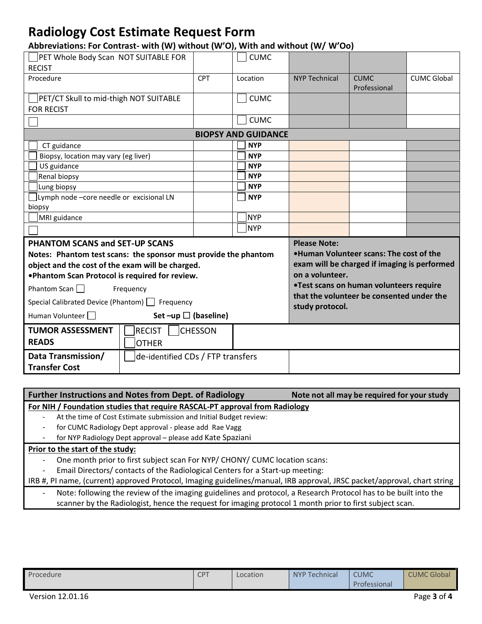| Abbreviations: For Contrast- with (W) without (W'O), With and without (W/ W'Oo) |  |
|---------------------------------------------------------------------------------|--|
|---------------------------------------------------------------------------------|--|

| PET Whole Body Scan NOT SUITABLE FOR                            |                | <b>CUMC</b> |                                                                                         |                             |                    |  |  |  |
|-----------------------------------------------------------------|----------------|-------------|-----------------------------------------------------------------------------------------|-----------------------------|--------------------|--|--|--|
| <b>RECIST</b>                                                   |                |             |                                                                                         |                             |                    |  |  |  |
| Procedure                                                       | <b>CPT</b>     | Location    | <b>NYP Technical</b>                                                                    | <b>CUMC</b><br>Professional | <b>CUMC Global</b> |  |  |  |
| PET/CT Skull to mid-thigh NOT SUITABLE                          |                | <b>CUMC</b> |                                                                                         |                             |                    |  |  |  |
| <b>FOR RECIST</b>                                               |                |             |                                                                                         |                             |                    |  |  |  |
|                                                                 |                | <b>CUMC</b> |                                                                                         |                             |                    |  |  |  |
| <b>BIOPSY AND GUIDANCE</b>                                      |                |             |                                                                                         |                             |                    |  |  |  |
| CT guidance                                                     |                | <b>NYP</b>  |                                                                                         |                             |                    |  |  |  |
| Biopsy, location may vary (eg liver)                            |                | <b>NYP</b>  |                                                                                         |                             |                    |  |  |  |
| US guidance                                                     |                | <b>NYP</b>  |                                                                                         |                             |                    |  |  |  |
| Renal biopsy                                                    |                | <b>NYP</b>  |                                                                                         |                             |                    |  |  |  |
| Lung biopsy                                                     |                | <b>NYP</b>  |                                                                                         |                             |                    |  |  |  |
| Lymph node -core needle or excisional LN                        |                | <b>NYP</b>  |                                                                                         |                             |                    |  |  |  |
| biopsy                                                          |                |             |                                                                                         |                             |                    |  |  |  |
| MRI guidance                                                    |                | NYP]        |                                                                                         |                             |                    |  |  |  |
|                                                                 |                | NYP         |                                                                                         |                             |                    |  |  |  |
| <b>PHANTOM SCANS and SET-UP SCANS</b>                           |                |             | <b>Please Note:</b>                                                                     |                             |                    |  |  |  |
| Notes: Phantom test scans: the sponsor must provide the phantom |                |             | .Human Volunteer scans: The cost of the<br>exam will be charged if imaging is performed |                             |                    |  |  |  |
| object and the cost of the exam will be charged.                |                |             |                                                                                         |                             |                    |  |  |  |
| .Phantom Scan Protocol is required for review.                  |                |             | on a volunteer.                                                                         |                             |                    |  |  |  |
| Phantom Scan $\Box$<br>Frequency                                |                |             | •Test scans on human volunteers require<br>that the volunteer be consented under the    |                             |                    |  |  |  |
| Special Calibrated Device (Phantom)   Frequency                 |                |             | study protocol.                                                                         |                             |                    |  |  |  |
| Set $-\upmu p$ (baseline)<br>Human Volunteer                    |                |             |                                                                                         |                             |                    |  |  |  |
| <b>TUMOR ASSESSMENT</b><br><b>RECIST</b>                        | <b>CHESSON</b> |             |                                                                                         |                             |                    |  |  |  |
| <b>READS</b><br><b>OTHER</b>                                    |                |             |                                                                                         |                             |                    |  |  |  |
| Data Transmission/<br>de-identified CDs / FTP transfers         |                |             |                                                                                         |                             |                    |  |  |  |
| <b>Transfer Cost</b>                                            |                |             |                                                                                         |                             |                    |  |  |  |

| <b>Further Instructions and Notes from Dept. of Radiology</b>                                                            | Note not all may be required for your study |
|--------------------------------------------------------------------------------------------------------------------------|---------------------------------------------|
| For NIH / Foundation studies that require RASCAL-PT approval from Radiology                                              |                                             |
| At the time of Cost Estimate submission and Initial Budget review:                                                       |                                             |
| for CUMC Radiology Dept approval - please add Rae Vagg<br>$\qquad \qquad \blacksquare$                                   |                                             |
| for NYP Radiology Dept approval - please add Kate Spaziani                                                               |                                             |
| Prior to the start of the study:                                                                                         |                                             |
| One month prior to first subject scan For NYP/ CHONY/ CUMC location scans:<br>-                                          |                                             |
| Email Directors/ contacts of the Radiological Centers for a Start-up meeting:<br>$\overline{a}$                          |                                             |
| IRB #, PI name, (current) approved Protocol, Imaging guidelines/manual, IRB approval, JRSC packet/approval, chart string |                                             |
| Note: following the review of the imaging guidelines and protocol, a Research Protocol has to be built into the<br>-     |                                             |
| scanner by the Radiologist, hence the request for imaging protocol 1 month prior to first subject scan.                  |                                             |

| Procedure | <b>CPT</b> | Location | NYP Technical | <b>CUMC</b>  | <b>CUMC Global</b> |
|-----------|------------|----------|---------------|--------------|--------------------|
|           |            |          |               | Professional |                    |